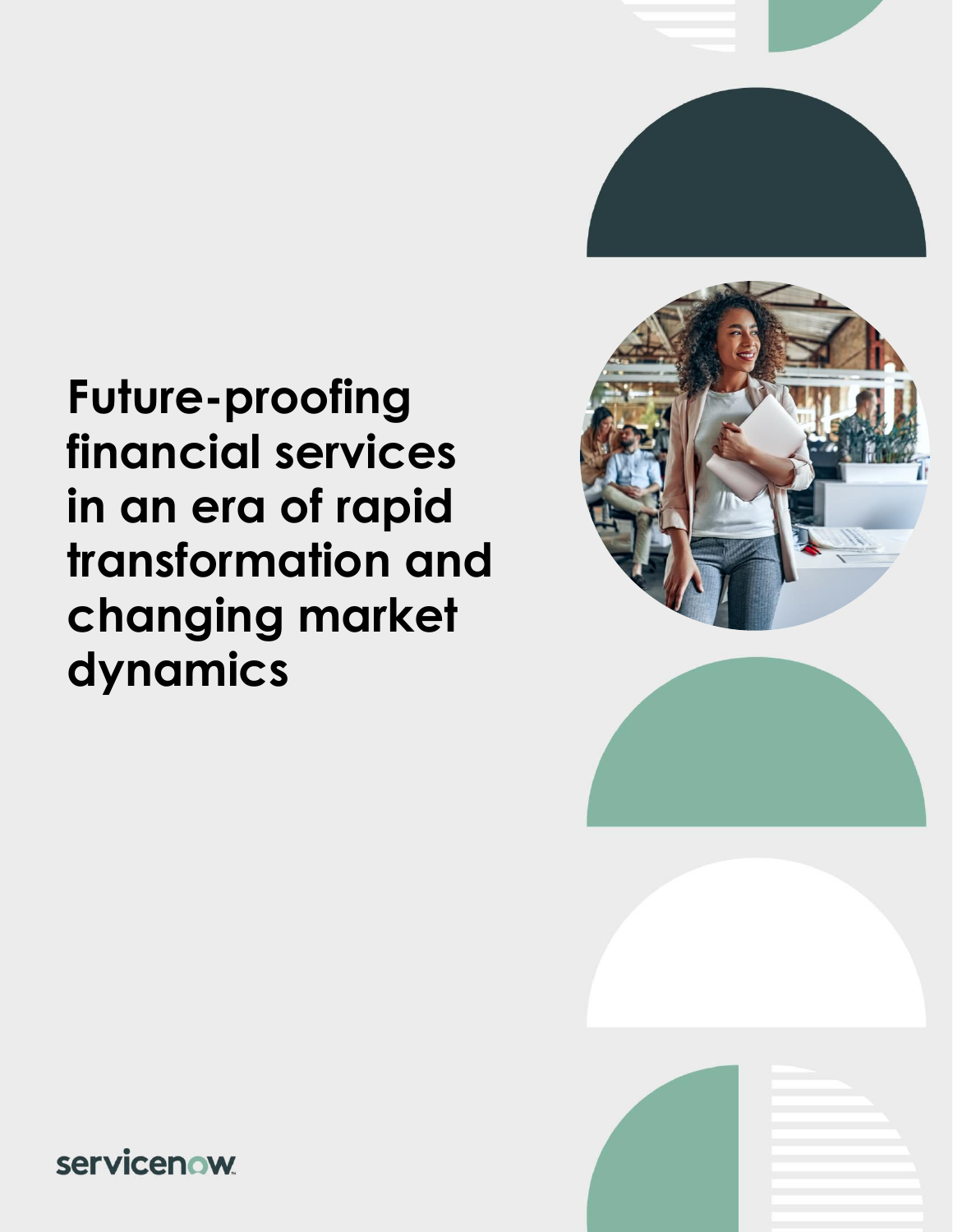

# **Future-proofing financial services in an era of rapid transformation and changing market dynamics**







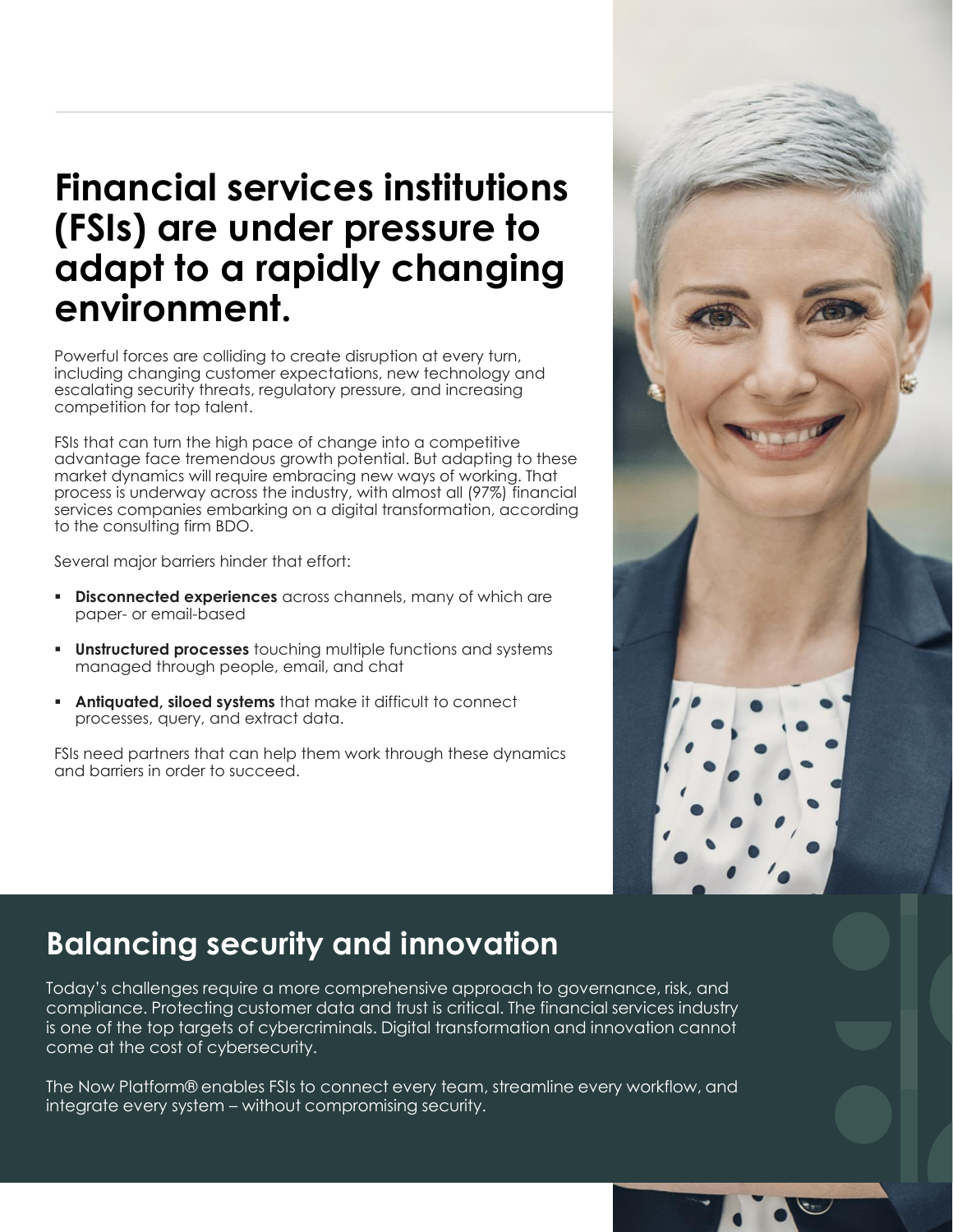### **Financial services institutions (FSIs) are under pressure to adapt to a rapidly changing environment.**

Powerful forces are colliding to create disruption at every turn, including changing customer expectations, new technology and escalating security threats, regulatory pressure, and increasing competition for top talent.

FSIs that can turn the high pace of change into a competitive advantage face tremendous growth potential. But adapting to these market dynamics will require embracing new ways of working. That process is underway across the industry, with almost all (97%) financial services companies embarking on a digital transformation, according to the consulting firm BDO.

Several major barriers hinder that effort:

- **Disconnected experiences** across channels, many of which are paper- or email-based
- **Unstructured processes** touching multiple functions and systems managed through people, email, and chat
- **EXTER Antiquated, siloed systems** that make it difficult to connect processes, query, and extract data.

FSIs need partners that can help them work through these dynamics and barriers in order to succeed.



#### **Balancing security and innovation**

Today's challenges require a more comprehensive approach to governance, risk, and compliance. Protecting customer data and trust is critical. The financial services industry is one of the top targets of cybercriminals. Digital transformation and innovation cannot come at the cost of cybersecurity.

The Now Platform® enables FSIs to connect every team, streamline every workflow, and integrate every system – without compromising security.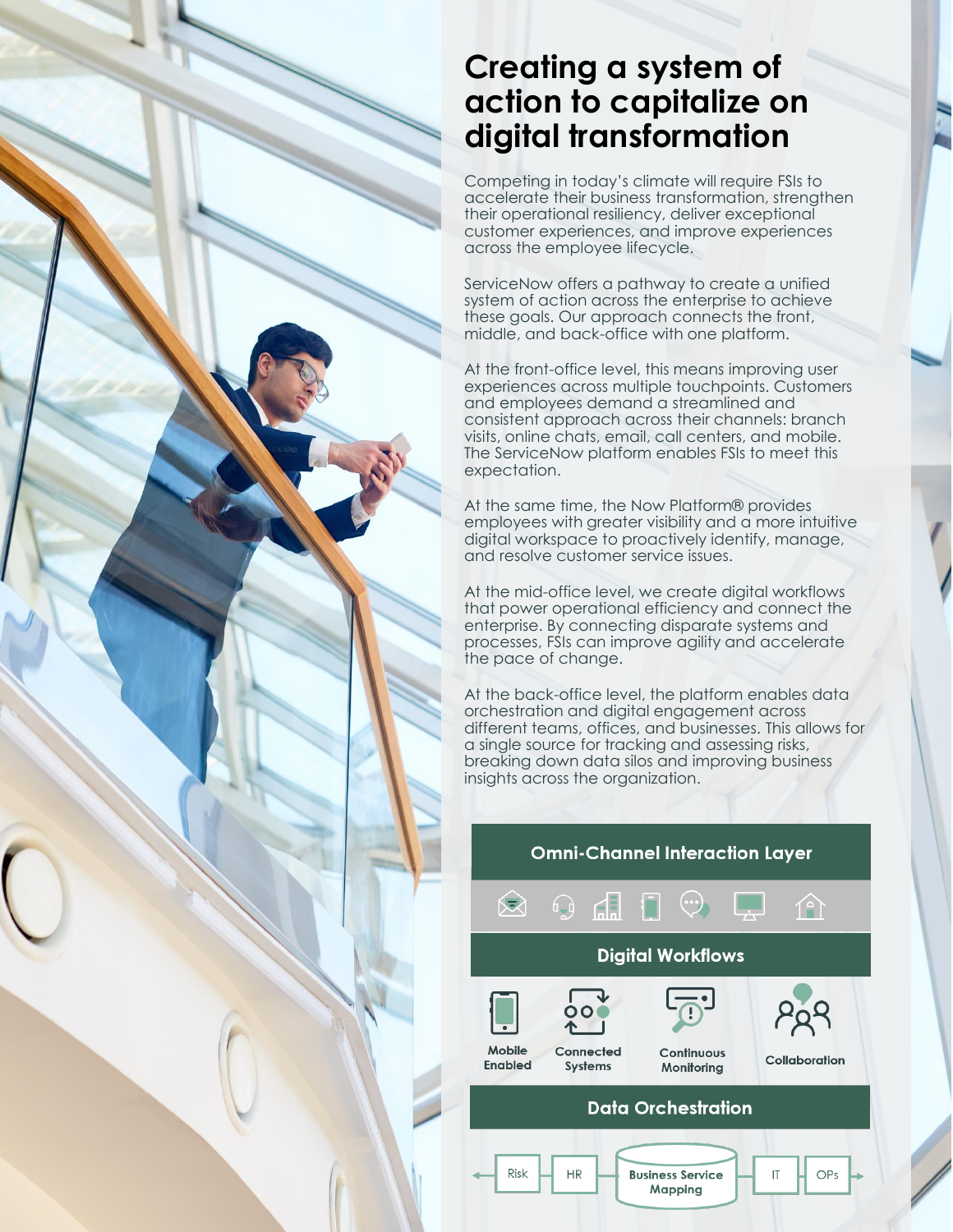#### **Creating a system of action to capitalize on digital transformation**

Competing in today's climate will require FSIs to accelerate their business transformation, strengthen their operational resiliency, deliver exceptional customer experiences, and improve experiences across the employee lifecycle.

ServiceNow offers a pathway to create a unified system of action across the enterprise to achieve these goals. Our approach connects the front, middle, and back-office with one platform.

At the front-office level, this means improving user experiences across multiple touchpoints. Customers and employees demand a streamlined and consistent approach across their channels: branch visits, online chats, email, call centers, and mobile. The ServiceNow platform enables FSIs to meet this expectation.

At the same time, the Now Platform® provides employees with greater visibility and a more intuitive digital workspace to proactively identify, manage, and resolve customer service issues.

At the mid-office level, we create digital workflows that power operational efficiency and connect the enterprise. By connecting disparate systems and processes, FSIs can improve agility and accelerate the pace of change.

At the back-office level, the platform enables data orchestration and digital engagement across different teams, offices, and businesses. This allows for a single source for tracking and assessing risks, breaking down data silos and improving business insights across the organization.

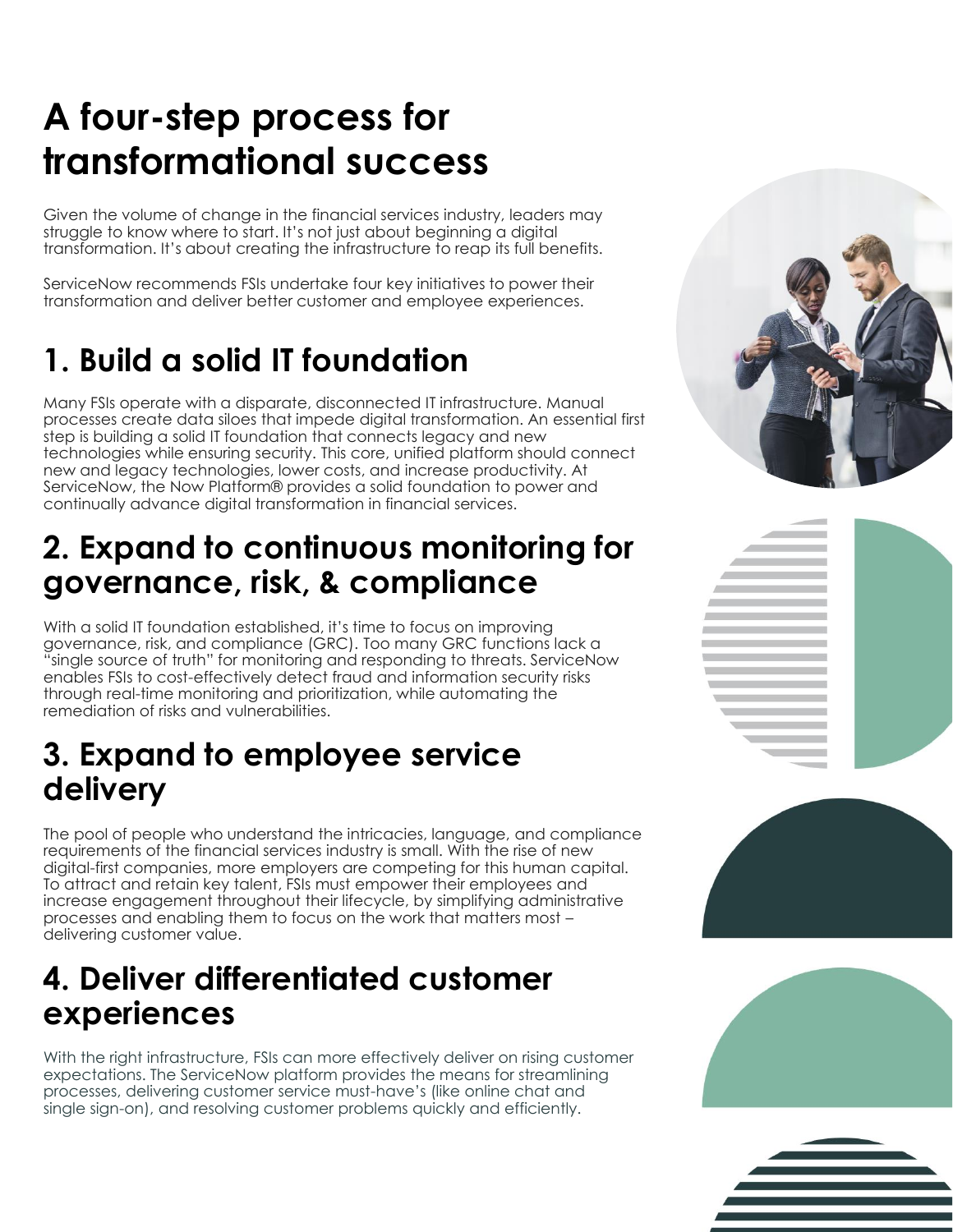## **A four-step process for transformational success**

Given the volume of change in the financial services industry, leaders may struggle to know where to start. It's not just about beginning a digital transformation. It's about creating the infrastructure to reap its full benefits.

ServiceNow recommends FSIs undertake four key initiatives to power their transformation and deliver better customer and employee experiences.

### **1. Build a solid IT foundation**

Many FSIs operate with a disparate, disconnected IT infrastructure. Manual processes create data siloes that impede digital transformation. An essential first step is building a solid IT foundation that connects legacy and new technologies while ensuring security. This core, unified platform should connect new and legacy technologies, lower costs, and increase productivity. At ServiceNow, the Now Platform® provides a solid foundation to power and continually advance digital transformation in financial services.

#### **2. Expand to continuous monitoring for governance, risk, & compliance**

With a solid IT foundation established, it's time to focus on improving governance, risk, and compliance (GRC). Too many GRC functions lack a "single source of truth" for monitoring and responding to threats. ServiceNow enables FSIs to cost-effectively detect fraud and information security risks through real-time monitoring and prioritization, while automating the remediation of risks and vulnerabilities.

#### **3. Expand to employee service delivery**

The pool of people who understand the intricacies, language, and compliance requirements of the financial services industry is small. With the rise of new digital-first companies, more employers are competing for this human capital. To attract and retain key talent, FSIs must empower their employees and increase engagement throughout their lifecycle, by simplifying administrative processes and enabling them to focus on the work that matters most – delivering customer value.

#### **4. Deliver differentiated customer experiences**

With the right infrastructure, FSIs can more effectively deliver on rising customer expectations. The ServiceNow platform provides the means for streamlining processes, delivering customer service must-have's (like online chat and single sign-on), and resolving customer problems quickly and efficiently.